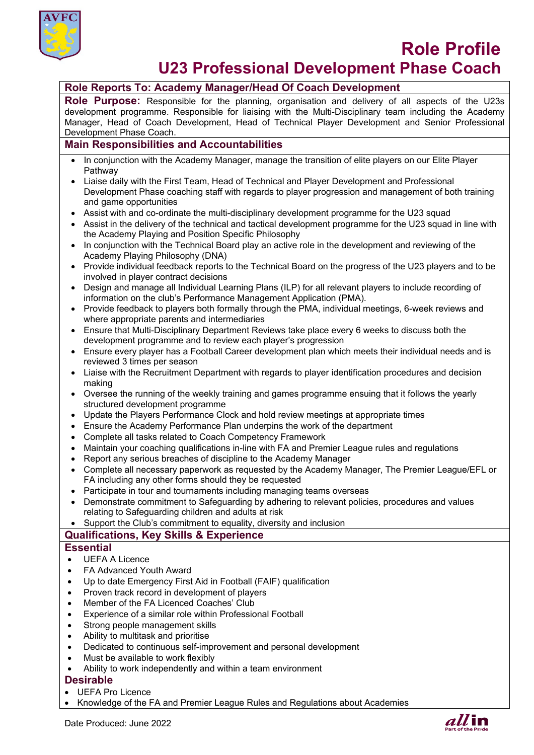

# **Role Profile U23 Professional Development Phase Coach**

# **Role Reports To: Academy Manager/Head Of Coach Development**

**Role Purpose:** Responsible for the planning, organisation and delivery of all aspects of the U23s development programme. Responsible for liaising with the Multi-Disciplinary team including the Academy Manager, Head of Coach Development, Head of Technical Player Development and Senior Professional Development Phase Coach.

# **Main Responsibilities and Accountabilities**

- In conjunction with the Academy Manager, manage the transition of elite players on our Elite Player **Pathway**
- Liaise daily with the First Team, Head of Technical and Player Development and Professional Development Phase coaching staff with regards to player progression and management of both training and game opportunities
- Assist with and co-ordinate the multi-disciplinary development programme for the U23 squad
- Assist in the delivery of the technical and tactical development programme for the U23 squad in line with the Academy Playing and Position Specific Philosophy
- In conjunction with the Technical Board play an active role in the development and reviewing of the Academy Playing Philosophy (DNA)
- Provide individual feedback reports to the Technical Board on the progress of the U23 players and to be involved in player contract decisions
- Design and manage all Individual Learning Plans (ILP) for all relevant players to include recording of information on the club's Performance Management Application (PMA).
- Provide feedback to players both formally through the PMA, individual meetings, 6-week reviews and where appropriate parents and intermediaries
- Ensure that Multi-Disciplinary Department Reviews take place every 6 weeks to discuss both the development programme and to review each player's progression
- Ensure every player has a Football Career development plan which meets their individual needs and is reviewed 3 times per season
- Liaise with the Recruitment Department with regards to player identification procedures and decision making
- Oversee the running of the weekly training and games programme ensuing that it follows the yearly structured development programme
- Update the Players Performance Clock and hold review meetings at appropriate times
- Ensure the Academy Performance Plan underpins the work of the department
- Complete all tasks related to Coach Competency Framework
- Maintain your coaching qualifications in-line with FA and Premier League rules and regulations
- Report any serious breaches of discipline to the Academy Manager
- Complete all necessary paperwork as requested by the Academy Manager, The Premier League/EFL or FA including any other forms should they be requested
- Participate in tour and tournaments including managing teams overseas
- Demonstrate commitment to Safeguarding by adhering to relevant policies, procedures and values relating to Safeguarding children and adults at risk
- Support the Club's commitment to equality, diversity and inclusion

### **Qualifications, Key Skills & Experience**

#### **Essential**

- UEFA A Licence
- FA Advanced Youth Award
- Up to date Emergency First Aid in Football (FAIF) qualification
- Proven track record in development of players
- Member of the FA Licenced Coaches' Club
- Experience of a similar role within Professional Football
- Strong people management skills
- Ability to multitask and prioritise
- Dedicated to continuous self-improvement and personal development
- Must be available to work flexibly
- Ability to work independently and within a team environment

#### **Desirable**

- UEFA Pro Licence
- Knowledge of the FA and Premier League Rules and Regulations about Academies